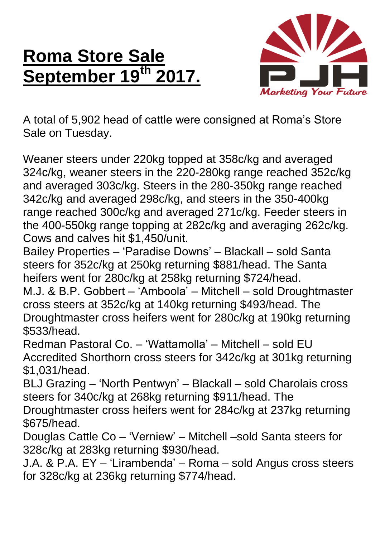## **Roma Store Sale September 19th 2017.**



A total of 5,902 head of cattle were consigned at Roma's Store Sale on Tuesday.

Weaner steers under 220kg topped at 358c/kg and averaged 324c/kg, weaner steers in the 220-280kg range reached 352c/kg and averaged 303c/kg. Steers in the 280-350kg range reached 342c/kg and averaged 298c/kg, and steers in the 350-400kg range reached 300c/kg and averaged 271c/kg. Feeder steers in the 400-550kg range topping at 282c/kg and averaging 262c/kg. Cows and calves hit \$1,450/unit.

Bailey Properties – 'Paradise Downs' – Blackall – sold Santa steers for 352c/kg at 250kg returning \$881/head. The Santa heifers went for 280c/kg at 258kg returning \$724/head.

M.J. & B.P. Gobbert – 'Amboola' – Mitchell – sold Droughtmaster cross steers at 352c/kg at 140kg returning \$493/head. The Droughtmaster cross heifers went for 280c/kg at 190kg returning \$533/head.

Redman Pastoral Co. – 'Wattamolla' – Mitchell – sold EU Accredited Shorthorn cross steers for 342c/kg at 301kg returning \$1,031/head.

BLJ Grazing – 'North Pentwyn' – Blackall – sold Charolais cross steers for 340c/kg at 268kg returning \$911/head. The

Droughtmaster cross heifers went for 284c/kg at 237kg returning \$675/head.

Douglas Cattle Co – 'Verniew' – Mitchell –sold Santa steers for 328c/kg at 283kg returning \$930/head.

J.A. & P.A. EY – 'Lirambenda' – Roma – sold Angus cross steers for 328c/kg at 236kg returning \$774/head.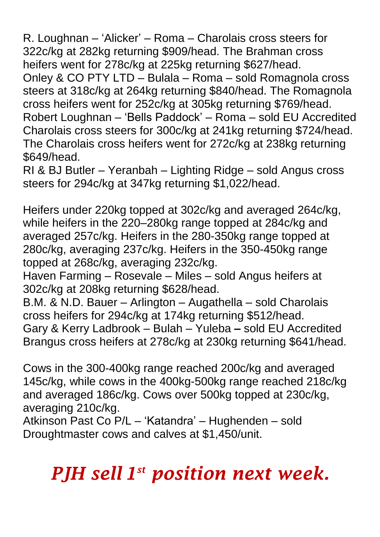R. Loughnan – 'Alicker' – Roma – Charolais cross steers for 322c/kg at 282kg returning \$909/head. The Brahman cross heifers went for 278c/kg at 225kg returning \$627/head. Onley & CO PTY LTD – Bulala – Roma – sold Romagnola cross steers at 318c/kg at 264kg returning \$840/head. The Romagnola cross heifers went for 252c/kg at 305kg returning \$769/head. Robert Loughnan – 'Bells Paddock' – Roma – sold EU Accredited Charolais cross steers for 300c/kg at 241kg returning \$724/head. The Charolais cross heifers went for 272c/kg at 238kg returning \$649/head.

RI & BJ Butler – Yeranbah – Lighting Ridge – sold Angus cross steers for 294c/kg at 347kg returning \$1,022/head.

Heifers under 220kg topped at 302c/kg and averaged 264c/kg, while heifers in the 220–280kg range topped at 284c/kg and averaged 257c/kg. Heifers in the 280-350kg range topped at 280c/kg, averaging 237c/kg. Heifers in the 350-450kg range topped at 268c/kg, averaging 232c/kg.

Haven Farming – Rosevale – Miles – sold Angus heifers at 302c/kg at 208kg returning \$628/head.

B.M. & N.D. Bauer – Arlington – Augathella – sold Charolais cross heifers for 294c/kg at 174kg returning \$512/head. Gary & Kerry Ladbrook – Bulah – Yuleba **–** sold EU Accredited Brangus cross heifers at 278c/kg at 230kg returning \$641/head.

Cows in the 300-400kg range reached 200c/kg and averaged 145c/kg, while cows in the 400kg-500kg range reached 218c/kg and averaged 186c/kg. Cows over 500kg topped at 230c/kg, averaging 210c/kg.

Atkinson Past Co P/L – 'Katandra' – Hughenden – sold Droughtmaster cows and calves at \$1,450/unit.

## *PJH sell 1 st position next week.*